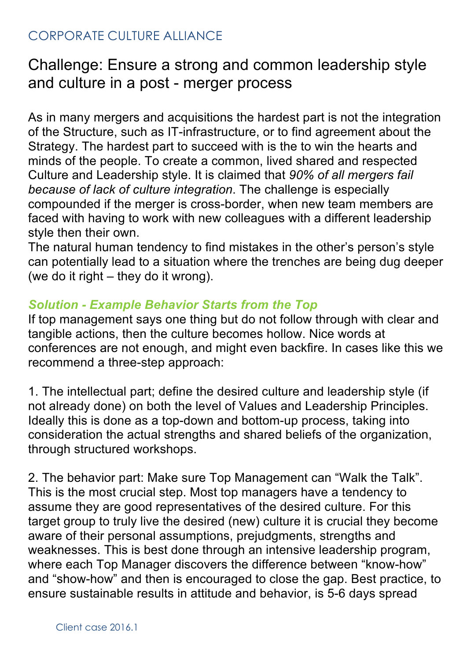## CORPORATE CULTURE ALLIANCE

# Challenge: Ensure a strong and common leadership style and culture in a post - merger process

As in many mergers and acquisitions the hardest part is not the integration of the Structure, such as IT-infrastructure, or to find agreement about the Strategy. The hardest part to succeed with is the to win the hearts and minds of the people. To create a common, lived shared and respected Culture and Leadership style. It is claimed that *90% of all mergers fail because of lack of culture integration*. The challenge is especially compounded if the merger is cross-border, when new team members are faced with having to work with new colleagues with a different leadership style then their own.

The natural human tendency to find mistakes in the other's person's style can potentially lead to a situation where the trenches are being dug deeper (we do it right – they do it wrong).

### *Solution - Example Behavior Starts from the Top*

If top management says one thing but do not follow through with clear and tangible actions, then the culture becomes hollow. Nice words at conferences are not enough, and might even backfire. In cases like this we recommend a three-step approach:

1. The intellectual part; define the desired culture and leadership style (if not already done) on both the level of Values and Leadership Principles. Ideally this is done as a top-down and bottom-up process, taking into consideration the actual strengths and shared beliefs of the organization, through structured workshops.

2. The behavior part: Make sure Top Management can "Walk the Talk". This is the most crucial step. Most top managers have a tendency to assume they are good representatives of the desired culture. For this target group to truly live the desired (new) culture it is crucial they become aware of their personal assumptions, prejudgments, strengths and weaknesses. This is best done through an intensive leadership program, where each Top Manager discovers the difference between "know-how" and "show-how" and then is encouraged to close the gap. Best practice, to ensure sustainable results in attitude and behavior, is 5-6 days spread